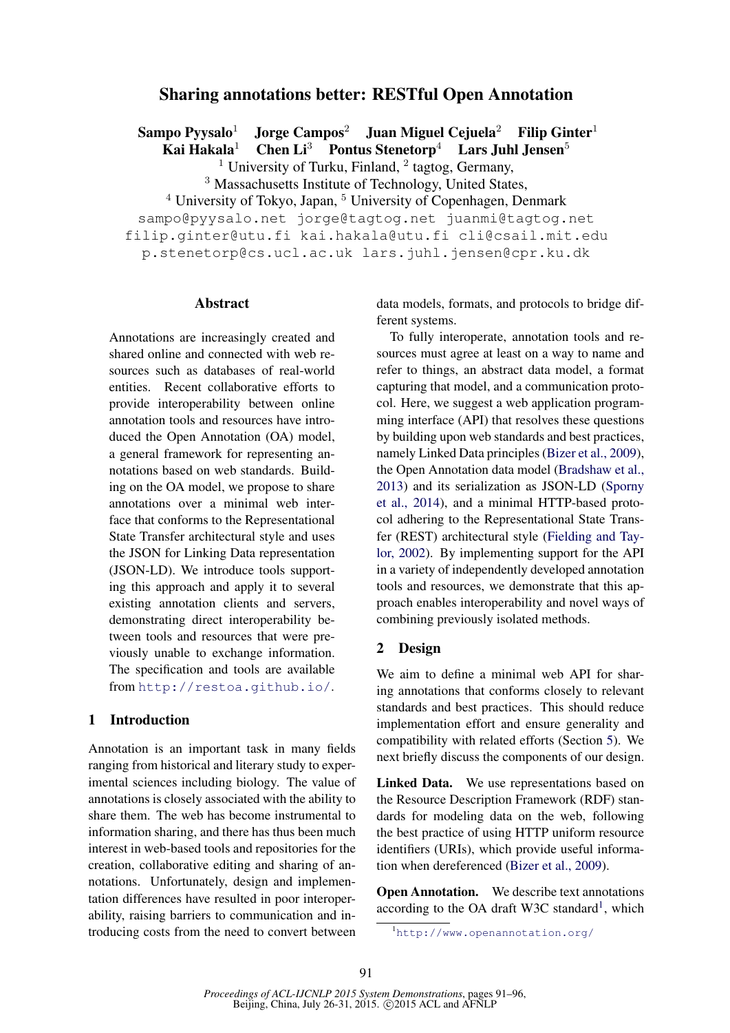# Sharing annotations better: RESTful Open Annotation

Sampo Pyysalo<sup>1</sup> Jorge Campos<sup>2</sup> Juan Miguel Cejuela<sup>2</sup> Filip Ginter<sup>1</sup> Kai Hakala<sup>1</sup> Chen Li<sup>3</sup> Pontus Stenetorp<sup>4</sup> Lars Juhl Jensen<sup>5</sup>

<sup>1</sup> University of Turku, Finland,  $^2$  tagtog, Germany,

<sup>3</sup> Massachusetts Institute of Technology, United States,

 $4$  University of Tokyo, Japan,  $5$  University of Copenhagen, Denmark sampo@pyysalo.net jorge@tagtog.net juanmi@tagtog.net

filip.ginter@utu.fi kai.hakala@utu.fi cli@csail.mit.edu

p.stenetorp@cs.ucl.ac.uk lars.juhl.jensen@cpr.ku.dk

## Abstract

Annotations are increasingly created and shared online and connected with web resources such as databases of real-world entities. Recent collaborative efforts to provide interoperability between online annotation tools and resources have introduced the Open Annotation (OA) model, a general framework for representing annotations based on web standards. Building on the OA model, we propose to share annotations over a minimal web interface that conforms to the Representational State Transfer architectural style and uses the JSON for Linking Data representation (JSON-LD). We introduce tools supporting this approach and apply it to several existing annotation clients and servers, demonstrating direct interoperability between tools and resources that were previously unable to exchange information. The specification and tools are available from http://restoa.github.io/.

# 1 Introduction

Annotation is an important task in many fields ranging from historical and literary study to experimental sciences including biology. The value of annotations is closely associated with the ability to share them. The web has become instrumental to information sharing, and there has thus been much interest in web-based tools and repositories for the creation, collaborative editing and sharing of annotations. Unfortunately, design and implementation differences have resulted in poor interoperability, raising barriers to communication and introducing costs from the need to convert between data models, formats, and protocols to bridge different systems.

To fully interoperate, annotation tools and resources must agree at least on a way to name and refer to things, an abstract data model, a format capturing that model, and a communication protocol. Here, we suggest a web application programming interface (API) that resolves these questions by building upon web standards and best practices, namely Linked Data principles (Bizer et al., 2009), the Open Annotation data model (Bradshaw et al., 2013) and its serialization as JSON-LD (Sporny et al., 2014), and a minimal HTTP-based protocol adhering to the Representational State Transfer (REST) architectural style (Fielding and Taylor, 2002). By implementing support for the API in a variety of independently developed annotation tools and resources, we demonstrate that this approach enables interoperability and novel ways of combining previously isolated methods.

## 2 Design

We aim to define a minimal web API for sharing annotations that conforms closely to relevant standards and best practices. This should reduce implementation effort and ensure generality and compatibility with related efforts (Section 5). We next briefly discuss the components of our design.

Linked Data. We use representations based on the Resource Description Framework (RDF) standards for modeling data on the web, following the best practice of using HTTP uniform resource identifiers (URIs), which provide useful information when dereferenced (Bizer et al., 2009).

**Open Annotation.** We describe text annotations according to the OA draft W3C standard<sup>1</sup>, which

<sup>1</sup>http://www.openannotation.org/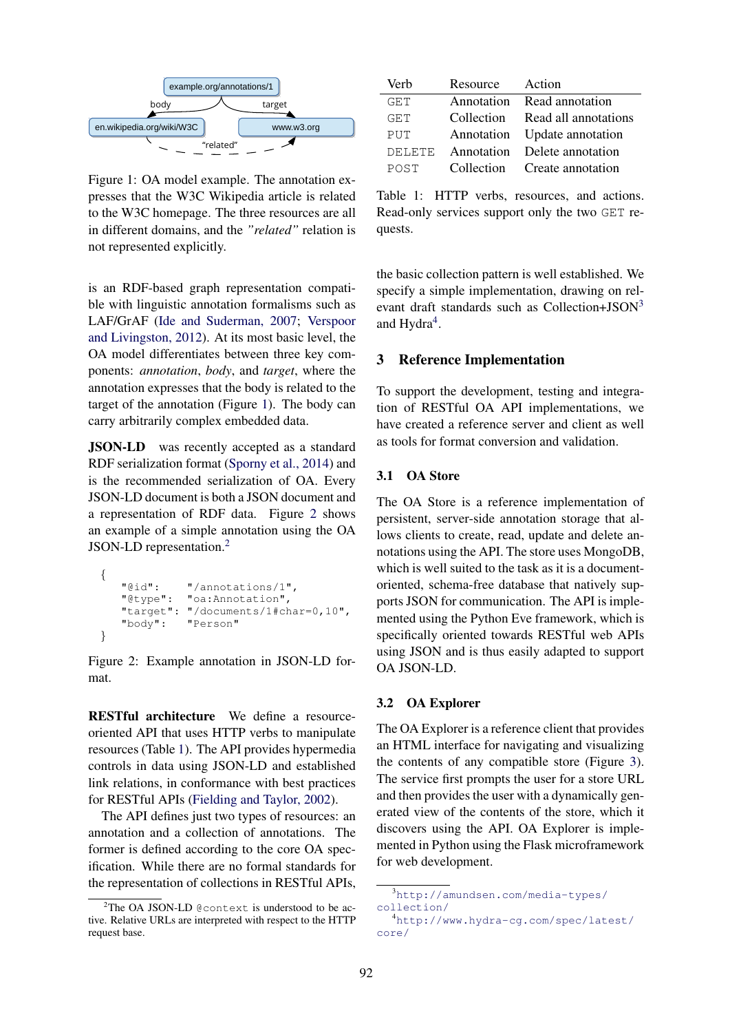

Figure 1: OA model example. The annotation expresses that the W3C Wikipedia article is related to the W3C homepage. The three resources are all in different domains, and the *"related"* relation is not represented explicitly.

is an RDF-based graph representation compatible with linguistic annotation formalisms such as LAF/GrAF (Ide and Suderman, 2007; Verspoor and Livingston, 2012). At its most basic level, the OA model differentiates between three key components: *annotation*, *body*, and *target*, where the annotation expresses that the body is related to the target of the annotation (Figure 1). The body can carry arbitrarily complex embedded data.

JSON-LD was recently accepted as a standard RDF serialization format (Sporny et al., 2014) and is the recommended serialization of OA. Every JSON-LD document is both a JSON document and a representation of RDF data. Figure 2 shows an example of a simple annotation using the OA JSON-LD representation.<sup>2</sup>

```
{
     "@id": "/annotations/1",<br>"@type": "oa:Annotation",
                     "oa:Annotation",
     "target": "/documents/1#char=0,10",<br>"body": "Person"
                     "Person"
}
```
Figure 2: Example annotation in JSON-LD format.

RESTful architecture We define a resourceoriented API that uses HTTP verbs to manipulate resources (Table 1). The API provides hypermedia controls in data using JSON-LD and established link relations, in conformance with best practices for RESTful APIs (Fielding and Taylor, 2002).

The API defines just two types of resources: an annotation and a collection of annotations. The former is defined according to the core OA specification. While there are no formal standards for the representation of collections in RESTful APIs,

| Verb          | Resource   | Action                       |  |
|---------------|------------|------------------------------|--|
| GET           |            | Annotation Read annotation   |  |
| GET           | Collection | Read all annotations         |  |
| PUT           |            | Annotation Update annotation |  |
| <b>DELETE</b> |            | Annotation Delete annotation |  |
| POST          |            | Collection Create annotation |  |

Table 1: HTTP verbs, resources, and actions. Read-only services support only the two GET requests.

the basic collection pattern is well established. We specify a simple implementation, drawing on relevant draft standards such as Collection+JSON<sup>3</sup> and Hydra<sup>4</sup>.

## 3 Reference Implementation

To support the development, testing and integration of RESTful OA API implementations, we have created a reference server and client as well as tools for format conversion and validation.

## 3.1 OA Store

The OA Store is a reference implementation of persistent, server-side annotation storage that allows clients to create, read, update and delete annotations using the API. The store uses MongoDB, which is well suited to the task as it is a documentoriented, schema-free database that natively supports JSON for communication. The API is implemented using the Python Eve framework, which is specifically oriented towards RESTful web APIs using JSON and is thus easily adapted to support OA JSON-LD.

### 3.2 OA Explorer

The OA Explorer is a reference client that provides an HTML interface for navigating and visualizing the contents of any compatible store (Figure 3). The service first prompts the user for a store URL and then provides the user with a dynamically generated view of the contents of the store, which it discovers using the API. OA Explorer is implemented in Python using the Flask microframework for web development.

 $2$ The OA JSON-LD @context is understood to be active. Relative URLs are interpreted with respect to the HTTP request base.

<sup>3</sup>http://amundsen.com/media-types/ collection/

<sup>4</sup>http://www.hydra-cg.com/spec/latest/ core/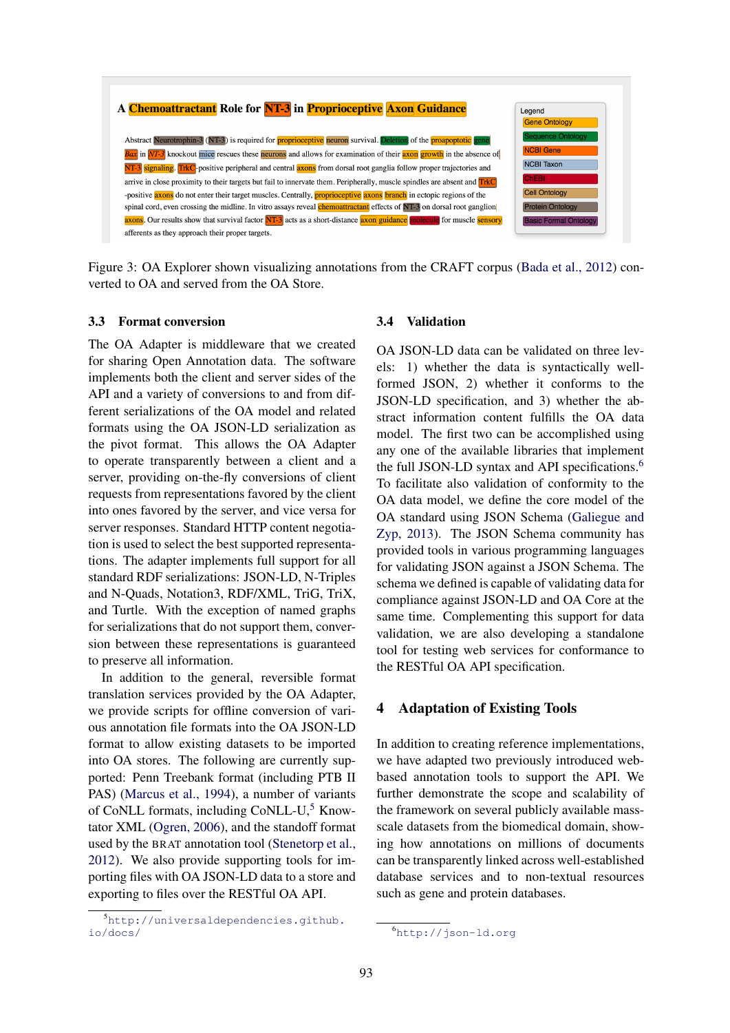

Figure 3: OA Explorer shown visualizing annotations from the CRAFT corpus (Bada et al., 2012) converted to OA and served from the OA Store.

### 3.3 Format conversion

The OA Adapter is middleware that we created for sharing Open Annotation data. The software implements both the client and server sides of the API and a variety of conversions to and from different serializations of the OA model and related formats using the OA JSON-LD serialization as the pivot format. This allows the OA Adapter to operate transparently between a client and a server, providing on-the-fly conversions of client requests from representations favored by the client into ones favored by the server, and vice versa for server responses. Standard HTTP content negotiation is used to select the best supported representations. The adapter implements full support for all standard RDF serializations: JSON-LD, N-Triples and N-Quads, Notation3, RDF/XML, TriG, TriX, and Turtle. With the exception of named graphs for serializations that do not support them, conversion between these representations is guaranteed to preserve all information.

In addition to the general, reversible format translation services provided by the OA Adapter, we provide scripts for offline conversion of various annotation file formats into the OA JSON-LD format to allow existing datasets to be imported into OA stores. The following are currently supported: Penn Treebank format (including PTB II PAS) (Marcus et al., 1994), a number of variants of CoNLL formats, including CoNLL-U, $5$  Knowtator XML (Ogren, 2006), and the standoff format used by the BRAT annotation tool (Stenetorp et al., 2012). We also provide supporting tools for importing files with OA JSON-LD data to a store and exporting to files over the RESTful OA API.

#### 3.4 Validation

OA JSON-LD data can be validated on three levels: 1) whether the data is syntactically wellformed JSON, 2) whether it conforms to the JSON-LD specification, and 3) whether the abstract information content fulfills the OA data model. The first two can be accomplished using any one of the available libraries that implement the full JSON-LD syntax and API specifications.<sup>6</sup> To facilitate also validation of conformity to the OA data model, we define the core model of the OA standard using JSON Schema (Galiegue and Zyp, 2013). The JSON Schema community has provided tools in various programming languages for validating JSON against a JSON Schema. The schema we defined is capable of validating data for compliance against JSON-LD and OA Core at the same time. Complementing this support for data validation, we are also developing a standalone tool for testing web services for conformance to the RESTful OA API specification.

#### 4 Adaptation of Existing Tools

In addition to creating reference implementations, we have adapted two previously introduced webbased annotation tools to support the API. We further demonstrate the scope and scalability of the framework on several publicly available massscale datasets from the biomedical domain, showing how annotations on millions of documents can be transparently linked across well-established database services and to non-textual resources such as gene and protein databases.

<sup>5</sup>http://universaldependencies.github. io/docs/

<sup>6</sup>http://json-ld.org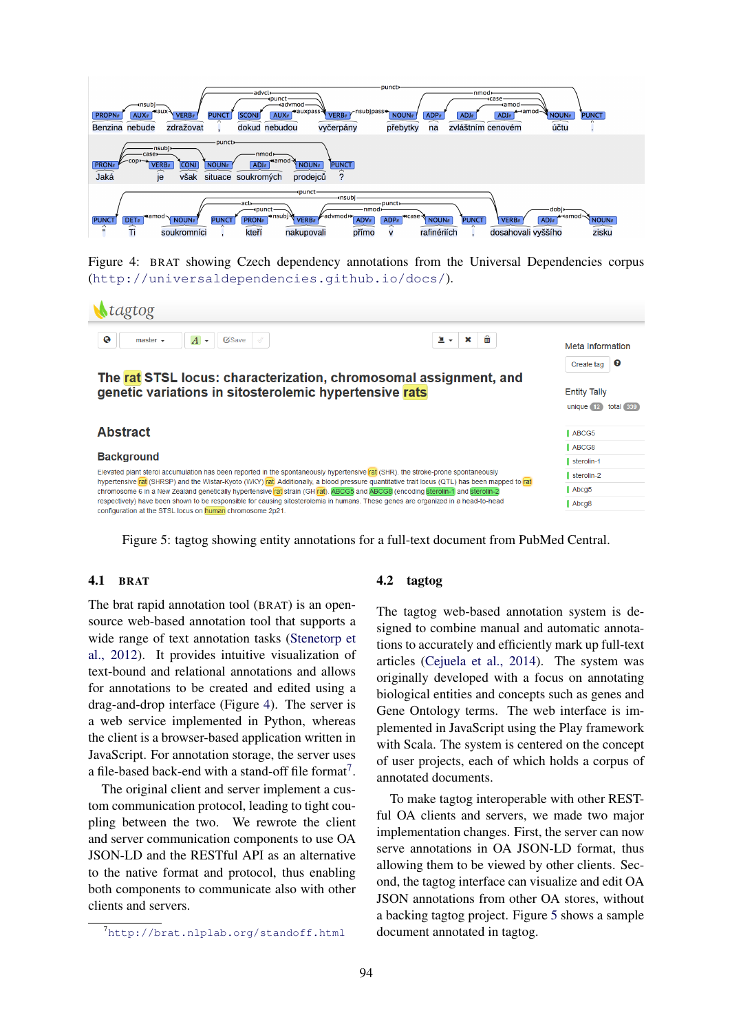

Figure 4: BRAT showing Czech dependency annotations from the Universal Dependencies corpus (http://universaldependencies.github.io/docs/).

| Ntagtog                                                                                                                                                                                                                                                                          |                                                                                                                                   |                  |
|----------------------------------------------------------------------------------------------------------------------------------------------------------------------------------------------------------------------------------------------------------------------------------|-----------------------------------------------------------------------------------------------------------------------------------|------------------|
| $\bullet$<br>Cisave<br>$\overline{A}$<br>Î<br>master $\sim$<br>$\check{\phantom{a}}$                                                                                                                                                                                             | 命<br>医头<br>$\pmb{\times}$                                                                                                         | Meta Information |
|                                                                                                                                                                                                                                                                                  |                                                                                                                                   | ℯ<br>Create tag  |
| The rat STSL locus: characterization, chromosomal assignment, and                                                                                                                                                                                                                |                                                                                                                                   |                  |
| genetic variations in sitosterolemic hypertensive rats                                                                                                                                                                                                                           | <b>Entity Tally</b><br>total 339<br>unique 12                                                                                     |                  |
|                                                                                                                                                                                                                                                                                  |                                                                                                                                   |                  |
| <b>Abstract</b>                                                                                                                                                                                                                                                                  |                                                                                                                                   | ABCG5            |
|                                                                                                                                                                                                                                                                                  |                                                                                                                                   | ABCG8            |
| <b>Background</b>                                                                                                                                                                                                                                                                | sterolin-1                                                                                                                        |                  |
| Elevated plant sterol accumulation has been reported in the spontaneously hypertensive rat (SHR), the stroke-prone spontaneously<br>hypertensive rat (SHRSP) and the Wistar-Kyoto (WKY) rat Additionally, a blood pressure quantitative trait locus (QTL) has been mapped to rat | sterolin-2                                                                                                                        |                  |
| chromosome 6 in a New Zealand genetically hypertensive rat strain (GH rat). ABCG5 and ABCG8 (encoding sterolin-1 and sterolin-2                                                                                                                                                  | Abcg5                                                                                                                             |                  |
|                                                                                                                                                                                                                                                                                  | respectively) have been shown to be responsible for causing sitosterolemia in humans. These genes are organized in a head-to-head | Abcq8            |

Figure 5: tagtog showing entity annotations for a full-text document from PubMed Central.

## 4.1 BRAT

The brat rapid annotation tool (BRAT) is an opensource web-based annotation tool that supports a wide range of text annotation tasks (Stenetorp et al., 2012). It provides intuitive visualization of text-bound and relational annotations and allows for annotations to be created and edited using a drag-and-drop interface (Figure 4). The server is a web service implemented in Python, whereas the client is a browser-based application written in JavaScript. For annotation storage, the server uses a file-based back-end with a stand-off file format<sup>7</sup>.

The original client and server implement a custom communication protocol, leading to tight coupling between the two. We rewrote the client and server communication components to use OA JSON-LD and the RESTful API as an alternative to the native format and protocol, thus enabling both components to communicate also with other clients and servers.

### 4.2 tagtog

The tagtog web-based annotation system is designed to combine manual and automatic annotations to accurately and efficiently mark up full-text articles (Cejuela et al., 2014). The system was originally developed with a focus on annotating biological entities and concepts such as genes and Gene Ontology terms. The web interface is implemented in JavaScript using the Play framework with Scala. The system is centered on the concept of user projects, each of which holds a corpus of annotated documents.

To make tagtog interoperable with other RESTful OA clients and servers, we made two major implementation changes. First, the server can now serve annotations in OA JSON-LD format, thus allowing them to be viewed by other clients. Second, the tagtog interface can visualize and edit OA JSON annotations from other OA stores, without a backing tagtog project. Figure 5 shows a sample document annotated in tagtog.

<sup>7</sup>http://brat.nlplab.org/standoff.html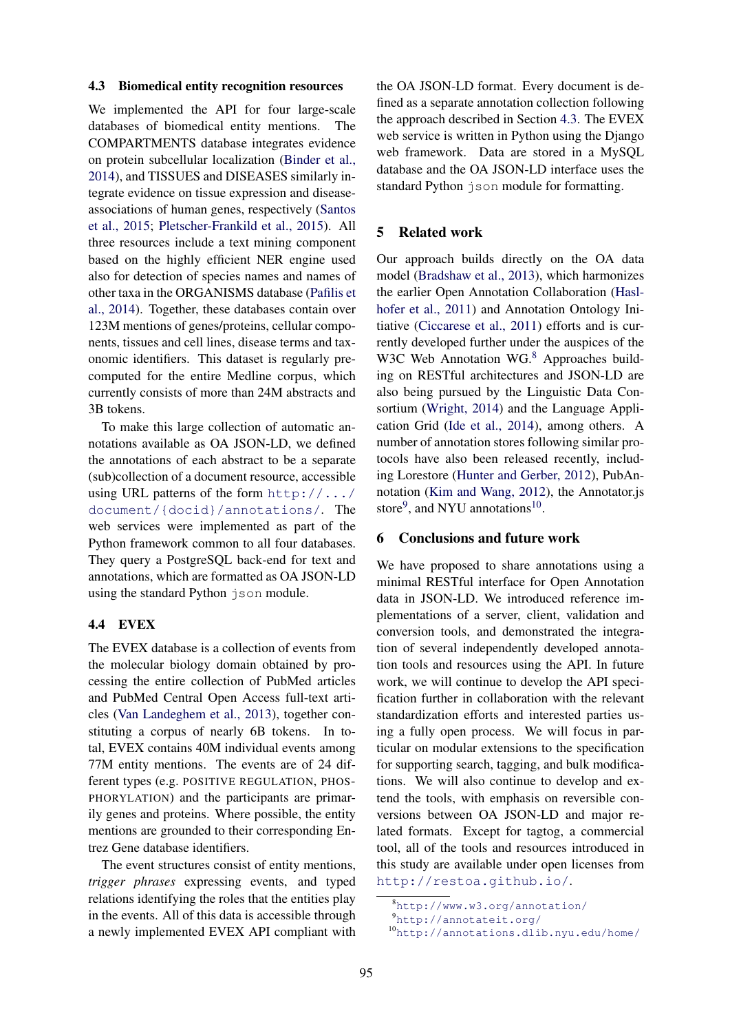### 4.3 Biomedical entity recognition resources

We implemented the API for four large-scale databases of biomedical entity mentions. The COMPARTMENTS database integrates evidence on protein subcellular localization (Binder et al., 2014), and TISSUES and DISEASES similarly integrate evidence on tissue expression and diseaseassociations of human genes, respectively (Santos et al., 2015; Pletscher-Frankild et al., 2015). All three resources include a text mining component based on the highly efficient NER engine used also for detection of species names and names of other taxa in the ORGANISMS database (Pafilis et al., 2014). Together, these databases contain over 123M mentions of genes/proteins, cellular components, tissues and cell lines, disease terms and taxonomic identifiers. This dataset is regularly precomputed for the entire Medline corpus, which currently consists of more than 24M abstracts and 3B tokens.

To make this large collection of automatic annotations available as OA JSON-LD, we defined the annotations of each abstract to be a separate (sub)collection of a document resource, accessible using URL patterns of the form http://.../ document/{docid}/annotations/. The web services were implemented as part of the Python framework common to all four databases. They query a PostgreSQL back-end for text and annotations, which are formatted as OA JSON-LD using the standard Python json module.

# 4.4 EVEX

The EVEX database is a collection of events from the molecular biology domain obtained by processing the entire collection of PubMed articles and PubMed Central Open Access full-text articles (Van Landeghem et al., 2013), together constituting a corpus of nearly 6B tokens. In total, EVEX contains 40M individual events among 77M entity mentions. The events are of 24 different types (e.g. POSITIVE REGULATION, PHOS-PHORYLATION) and the participants are primarily genes and proteins. Where possible, the entity mentions are grounded to their corresponding Entrez Gene database identifiers.

The event structures consist of entity mentions, *trigger phrases* expressing events, and typed relations identifying the roles that the entities play in the events. All of this data is accessible through a newly implemented EVEX API compliant with

the OA JSON-LD format. Every document is defined as a separate annotation collection following the approach described in Section 4.3. The EVEX web service is written in Python using the Django web framework. Data are stored in a MySQL database and the OA JSON-LD interface uses the standard Python json module for formatting.

## 5 Related work

Our approach builds directly on the OA data model (Bradshaw et al., 2013), which harmonizes the earlier Open Annotation Collaboration (Haslhofer et al., 2011) and Annotation Ontology Initiative (Ciccarese et al., 2011) efforts and is currently developed further under the auspices of the W3C Web Annotation WG.<sup>8</sup> Approaches building on RESTful architectures and JSON-LD are also being pursued by the Linguistic Data Consortium (Wright, 2014) and the Language Application Grid (Ide et al., 2014), among others. A number of annotation stores following similar protocols have also been released recently, including Lorestore (Hunter and Gerber, 2012), PubAnnotation (Kim and Wang, 2012), the Annotator.js store<sup>9</sup>, and NYU annotations<sup>10</sup>.

## 6 Conclusions and future work

We have proposed to share annotations using a minimal RESTful interface for Open Annotation data in JSON-LD. We introduced reference implementations of a server, client, validation and conversion tools, and demonstrated the integration of several independently developed annotation tools and resources using the API. In future work, we will continue to develop the API specification further in collaboration with the relevant standardization efforts and interested parties using a fully open process. We will focus in particular on modular extensions to the specification for supporting search, tagging, and bulk modifications. We will also continue to develop and extend the tools, with emphasis on reversible conversions between OA JSON-LD and major related formats. Except for tagtog, a commercial tool, all of the tools and resources introduced in this study are available under open licenses from http://restoa.github.io/.

<sup>8</sup>http://www.w3.org/annotation/

<sup>9</sup>http://annotateit.org/

<sup>10</sup>http://annotations.dlib.nyu.edu/home/